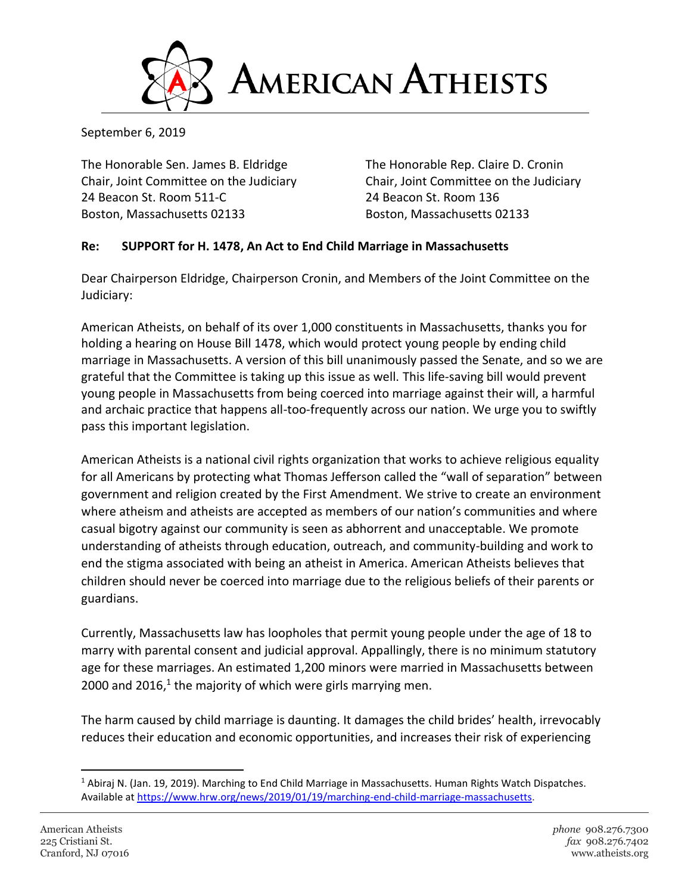

September 6, 2019

The Honorable Sen. James B. Eldridge The Honorable Rep. Claire D. Cronin Chair, Joint Committee on the Judiciary Chair, Joint Committee on the Judiciary 24 Beacon St. Room 511-C 24 Beacon St. Room 136 Boston, Massachusetts 02133 Boston, Massachusetts 02133

## **Re: SUPPORT for H. 1478, An Act to End Child Marriage in Massachusetts**

Dear Chairperson Eldridge, Chairperson Cronin, and Members of the Joint Committee on the Judiciary:

American Atheists, on behalf of its over 1,000 constituents in Massachusetts, thanks you for holding a hearing on House Bill 1478, which would protect young people by ending child marriage in Massachusetts. A version of this bill unanimously passed the Senate, and so we are grateful that the Committee is taking up this issue as well. This life-saving bill would prevent young people in Massachusetts from being coerced into marriage against their will, a harmful and archaic practice that happens all-too-frequently across our nation. We urge you to swiftly pass this important legislation.

American Atheists is a national civil rights organization that works to achieve religious equality for all Americans by protecting what Thomas Jefferson called the "wall of separation" between government and religion created by the First Amendment. We strive to create an environment where atheism and atheists are accepted as members of our nation's communities and where casual bigotry against our community is seen as abhorrent and unacceptable. We promote understanding of atheists through education, outreach, and community-building and work to end the stigma associated with being an atheist in America. American Atheists believes that children should never be coerced into marriage due to the religious beliefs of their parents or guardians.

Currently, Massachusetts law has loopholes that permit young people under the age of 18 to marry with parental consent and judicial approval. Appallingly, there is no minimum statutory age for these marriages. An estimated 1,200 minors were married in Massachusetts between 2000 and 2016, $1$  the majority of which were girls marrying men.

The harm caused by child marriage is daunting. It damages the child brides' health, irrevocably reduces their education and economic opportunities, and increases their risk of experiencing

<sup>1</sup> Abiraj N. (Jan. 19, 2019). Marching to End Child Marriage in Massachusetts. Human Rights Watch Dispatches. Available at [https://www.hrw.org/news/2019/01/19/marching-end-child-marriage-massachusetts.](https://www.hrw.org/news/2019/01/19/marching-end-child-marriage-massachusetts)